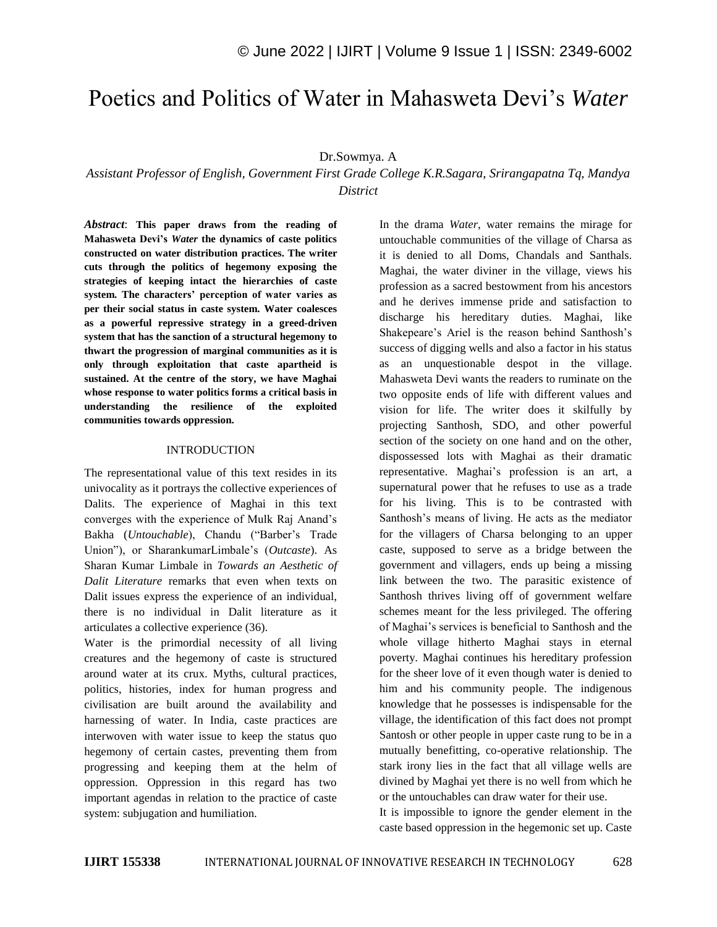# Poetics and Politics of Water in Mahasweta Devi"s *Water*

## Dr.Sowmya. A

*Assistant Professor of English, Government First Grade College K.R.Sagara, Srirangapatna Tq, Mandya District*

*Abstract*: **This paper draws from the reading of Mahasweta Devi's** *Water* **the dynamics of caste politics constructed on water distribution practices. The writer cuts through the politics of hegemony exposing the strategies of keeping intact the hierarchies of caste system. The characters' perception of water varies as per their social status in caste system. Water coalesces as a powerful repressive strategy in a greed-driven system that has the sanction of a structural hegemony to thwart the progression of marginal communities as it is only through exploitation that caste apartheid is sustained. At the centre of the story, we have Maghai whose response to water politics forms a critical basis in understanding the resilience of the exploited communities towards oppression.**

#### INTRODUCTION

The representational value of this text resides in its univocality as it portrays the collective experiences of Dalits. The experience of Maghai in this text converges with the experience of Mulk Raj Anand"s Bakha (*Untouchable*), Chandu ("Barber"s Trade Union"), or SharankumarLimbale"s (*Outcaste*). As Sharan Kumar Limbale in *Towards an Aesthetic of Dalit Literature* remarks that even when texts on Dalit issues express the experience of an individual, there is no individual in Dalit literature as it articulates a collective experience (36).

Water is the primordial necessity of all living creatures and the hegemony of caste is structured around water at its crux. Myths, cultural practices, politics, histories, index for human progress and civilisation are built around the availability and harnessing of water. In India, caste practices are interwoven with water issue to keep the status quo hegemony of certain castes, preventing them from progressing and keeping them at the helm of oppression. Oppression in this regard has two important agendas in relation to the practice of caste system: subjugation and humiliation.

In the drama *Water*, water remains the mirage for untouchable communities of the village of Charsa as it is denied to all Doms, Chandals and Santhals. Maghai, the water diviner in the village, views his profession as a sacred bestowment from his ancestors and he derives immense pride and satisfaction to discharge his hereditary duties. Maghai, like Shakepeare's Ariel is the reason behind Santhosh's success of digging wells and also a factor in his status as an unquestionable despot in the village. Mahasweta Devi wants the readers to ruminate on the two opposite ends of life with different values and vision for life. The writer does it skilfully by projecting Santhosh, SDO, and other powerful section of the society on one hand and on the other, dispossessed lots with Maghai as their dramatic representative. Maghai"s profession is an art, a supernatural power that he refuses to use as a trade for his living. This is to be contrasted with Santhosh"s means of living. He acts as the mediator for the villagers of Charsa belonging to an upper caste, supposed to serve as a bridge between the government and villagers, ends up being a missing link between the two. The parasitic existence of Santhosh thrives living off of government welfare schemes meant for the less privileged. The offering of Maghai"s services is beneficial to Santhosh and the whole village hitherto Maghai stays in eternal poverty. Maghai continues his hereditary profession for the sheer love of it even though water is denied to him and his community people. The indigenous knowledge that he possesses is indispensable for the village, the identification of this fact does not prompt Santosh or other people in upper caste rung to be in a mutually benefitting, co-operative relationship. The stark irony lies in the fact that all village wells are divined by Maghai yet there is no well from which he or the untouchables can draw water for their use.

It is impossible to ignore the gender element in the caste based oppression in the hegemonic set up. Caste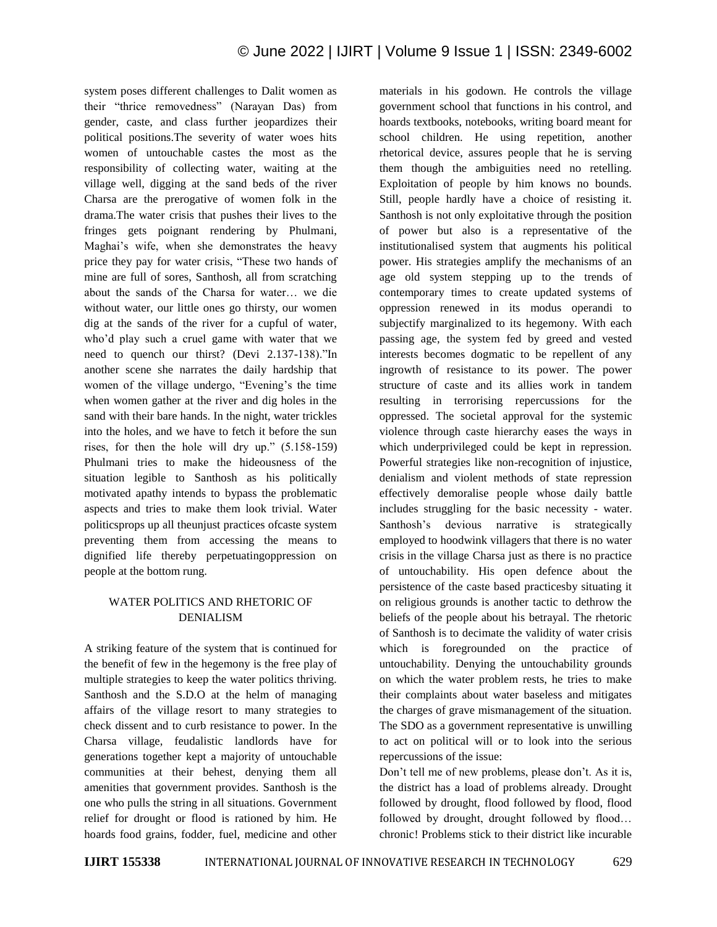system poses different challenges to Dalit women as their "thrice removedness" (Narayan Das) from gender, caste, and class further jeopardizes their political positions.The severity of water woes hits women of untouchable castes the most as the responsibility of collecting water, waiting at the village well, digging at the sand beds of the river Charsa are the prerogative of women folk in the drama.The water crisis that pushes their lives to the fringes gets poignant rendering by Phulmani, Maghai's wife, when she demonstrates the heavy price they pay for water crisis, "These two hands of mine are full of sores, Santhosh, all from scratching about the sands of the Charsa for water… we die without water, our little ones go thirsty, our women dig at the sands of the river for a cupful of water, who"d play such a cruel game with water that we need to quench our thirst? (Devi 2.137-138)."In another scene she narrates the daily hardship that women of the village undergo, "Evening's the time when women gather at the river and dig holes in the sand with their bare hands. In the night, water trickles into the holes, and we have to fetch it before the sun rises, for then the hole will dry up." (5.158-159) Phulmani tries to make the hideousness of the situation legible to Santhosh as his politically motivated apathy intends to bypass the problematic aspects and tries to make them look trivial. Water politicsprops up all theunjust practices ofcaste system preventing them from accessing the means to dignified life thereby perpetuatingoppression on people at the bottom rung.

## WATER POLITICS AND RHETORIC OF DENIALISM

A striking feature of the system that is continued for the benefit of few in the hegemony is the free play of multiple strategies to keep the water politics thriving. Santhosh and the S.D.O at the helm of managing affairs of the village resort to many strategies to check dissent and to curb resistance to power. In the Charsa village, feudalistic landlords have for generations together kept a majority of untouchable communities at their behest, denying them all amenities that government provides. Santhosh is the one who pulls the string in all situations. Government relief for drought or flood is rationed by him. He hoards food grains, fodder, fuel, medicine and other materials in his godown. He controls the village government school that functions in his control, and hoards textbooks, notebooks, writing board meant for school children. He using repetition, another rhetorical device, assures people that he is serving them though the ambiguities need no retelling. Exploitation of people by him knows no bounds. Still, people hardly have a choice of resisting it. Santhosh is not only exploitative through the position of power but also is a representative of the institutionalised system that augments his political power. His strategies amplify the mechanisms of an age old system stepping up to the trends of contemporary times to create updated systems of oppression renewed in its modus operandi to subjectify marginalized to its hegemony. With each passing age, the system fed by greed and vested interests becomes dogmatic to be repellent of any ingrowth of resistance to its power. The power structure of caste and its allies work in tandem resulting in terrorising repercussions for the oppressed. The societal approval for the systemic violence through caste hierarchy eases the ways in which underprivileged could be kept in repression. Powerful strategies like non-recognition of injustice, denialism and violent methods of state repression effectively demoralise people whose daily battle includes struggling for the basic necessity - water. Santhosh's devious narrative is strategically employed to hoodwink villagers that there is no water crisis in the village Charsa just as there is no practice of untouchability. His open defence about the persistence of the caste based practicesby situating it on religious grounds is another tactic to dethrow the beliefs of the people about his betrayal. The rhetoric of Santhosh is to decimate the validity of water crisis which is foregrounded on the practice of untouchability. Denying the untouchability grounds on which the water problem rests, he tries to make their complaints about water baseless and mitigates the charges of grave mismanagement of the situation. The SDO as a government representative is unwilling to act on political will or to look into the serious repercussions of the issue:

Don"t tell me of new problems, please don"t. As it is, the district has a load of problems already. Drought followed by drought, flood followed by flood, flood followed by drought, drought followed by flood… chronic! Problems stick to their district like incurable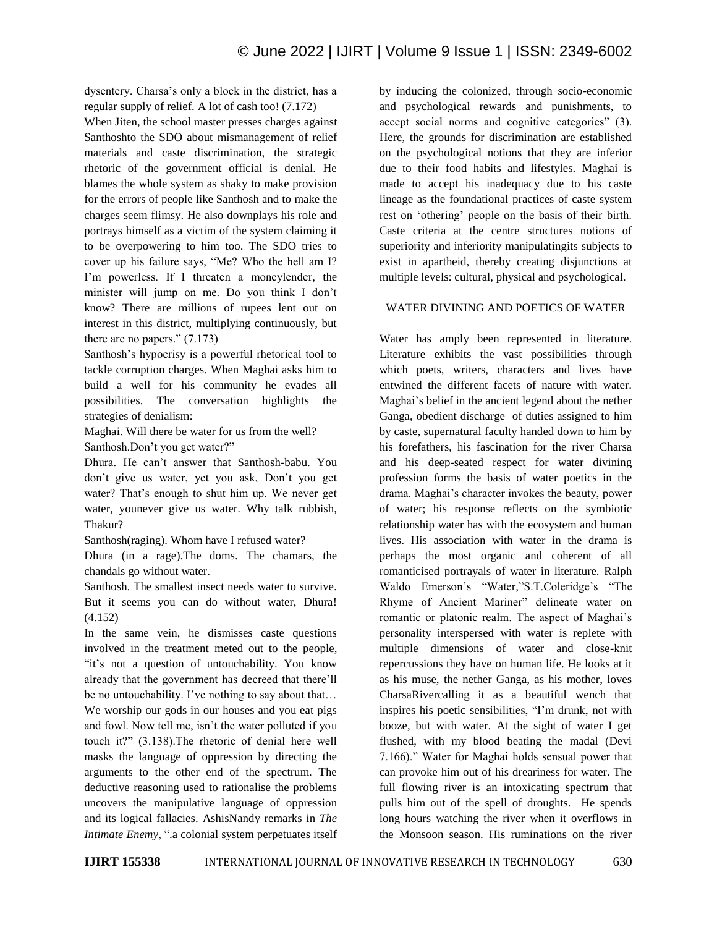dysentery. Charsa"s only a block in the district, has a regular supply of relief. A lot of cash too! (7.172)

When Jiten, the school master presses charges against Santhoshto the SDO about mismanagement of relief materials and caste discrimination, the strategic rhetoric of the government official is denial. He blames the whole system as shaky to make provision for the errors of people like Santhosh and to make the charges seem flimsy. He also downplays his role and portrays himself as a victim of the system claiming it to be overpowering to him too. The SDO tries to cover up his failure says, "Me? Who the hell am I? I"m powerless. If I threaten a moneylender, the minister will jump on me. Do you think I don"t know? There are millions of rupees lent out on interest in this district, multiplying continuously, but there are no papers." (7.173)

Santhosh"s hypocrisy is a powerful rhetorical tool to tackle corruption charges. When Maghai asks him to build a well for his community he evades all possibilities. The conversation highlights the strategies of denialism:

Maghai. Will there be water for us from the well? Santhosh.Don"t you get water?"

Dhura. He can"t answer that Santhosh-babu. You don"t give us water, yet you ask, Don"t you get water? That's enough to shut him up. We never get water, younever give us water. Why talk rubbish, Thakur?

Santhosh(raging). Whom have I refused water?

Dhura (in a rage).The doms. The chamars, the chandals go without water.

Santhosh. The smallest insect needs water to survive. But it seems you can do without water, Dhura! (4.152)

In the same vein, he dismisses caste questions involved in the treatment meted out to the people, "it"s not a question of untouchability. You know already that the government has decreed that there"ll be no untouchability. I've nothing to say about that... We worship our gods in our houses and you eat pigs and fowl. Now tell me, isn"t the water polluted if you touch it?" (3.138).The rhetoric of denial here well masks the language of oppression by directing the arguments to the other end of the spectrum. The deductive reasoning used to rationalise the problems uncovers the manipulative language of oppression and its logical fallacies. AshisNandy remarks in *The Intimate Enemy*, ".a colonial system perpetuates itself by inducing the colonized, through socio-economic and psychological rewards and punishments, to accept social norms and cognitive categories" (3). Here, the grounds for discrimination are established on the psychological notions that they are inferior due to their food habits and lifestyles. Maghai is made to accept his inadequacy due to his caste lineage as the foundational practices of caste system rest on "othering" people on the basis of their birth. Caste criteria at the centre structures notions of superiority and inferiority manipulatingits subjects to exist in apartheid, thereby creating disjunctions at multiple levels: cultural, physical and psychological.

## WATER DIVINING AND POETICS OF WATER

Water has amply been represented in literature. Literature exhibits the vast possibilities through which poets, writers, characters and lives have entwined the different facets of nature with water. Maghai"s belief in the ancient legend about the nether Ganga, obedient discharge of duties assigned to him by caste, supernatural faculty handed down to him by his forefathers, his fascination for the river Charsa and his deep-seated respect for water divining profession forms the basis of water poetics in the drama. Maghai"s character invokes the beauty, power of water; his response reflects on the symbiotic relationship water has with the ecosystem and human lives. His association with water in the drama is perhaps the most organic and coherent of all romanticised portrayals of water in literature. Ralph Waldo Emerson's "Water,"S.T.Coleridge's "The Rhyme of Ancient Mariner" delineate water on romantic or platonic realm. The aspect of Maghai's personality interspersed with water is replete with multiple dimensions of water and close-knit repercussions they have on human life. He looks at it as his muse, the nether Ganga, as his mother, loves CharsaRivercalling it as a beautiful wench that inspires his poetic sensibilities, "I"m drunk, not with booze, but with water. At the sight of water I get flushed, with my blood beating the madal (Devi 7.166)." Water for Maghai holds sensual power that can provoke him out of his dreariness for water. The full flowing river is an intoxicating spectrum that pulls him out of the spell of droughts. He spends long hours watching the river when it overflows in the Monsoon season. His ruminations on the river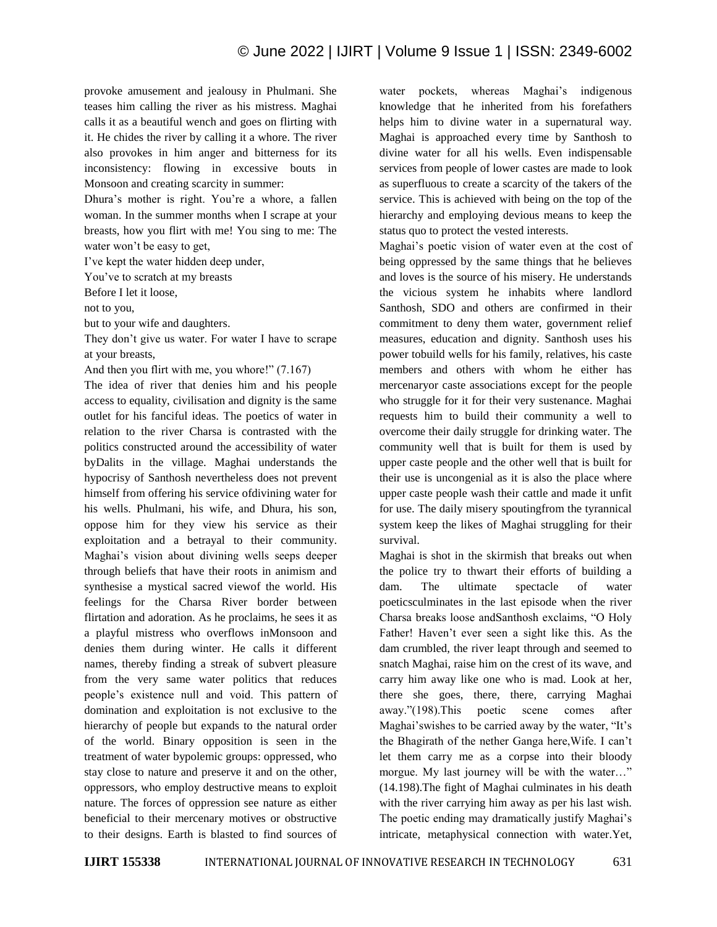provoke amusement and jealousy in Phulmani. She teases him calling the river as his mistress. Maghai calls it as a beautiful wench and goes on flirting with it. He chides the river by calling it a whore. The river also provokes in him anger and bitterness for its inconsistency: flowing in excessive bouts in Monsoon and creating scarcity in summer:

Dhura"s mother is right. You"re a whore, a fallen woman. In the summer months when I scrape at your breasts, how you flirt with me! You sing to me: The water won't be easy to get,

I"ve kept the water hidden deep under,

You"ve to scratch at my breasts

Before I let it loose,

not to you,

but to your wife and daughters.

They don't give us water. For water I have to scrape at your breasts,

And then you flirt with me, you whore!" (7.167)

The idea of river that denies him and his people access to equality, civilisation and dignity is the same outlet for his fanciful ideas. The poetics of water in relation to the river Charsa is contrasted with the politics constructed around the accessibility of water byDalits in the village. Maghai understands the hypocrisy of Santhosh nevertheless does not prevent himself from offering his service ofdivining water for his wells. Phulmani, his wife, and Dhura, his son, oppose him for they view his service as their exploitation and a betrayal to their community. Maghai"s vision about divining wells seeps deeper through beliefs that have their roots in animism and synthesise a mystical sacred viewof the world. His feelings for the Charsa River border between flirtation and adoration. As he proclaims, he sees it as a playful mistress who overflows inMonsoon and denies them during winter. He calls it different names, thereby finding a streak of subvert pleasure from the very same water politics that reduces people"s existence null and void. This pattern of domination and exploitation is not exclusive to the hierarchy of people but expands to the natural order of the world. Binary opposition is seen in the treatment of water bypolemic groups: oppressed, who stay close to nature and preserve it and on the other, oppressors, who employ destructive means to exploit nature. The forces of oppression see nature as either beneficial to their mercenary motives or obstructive to their designs. Earth is blasted to find sources of

water pockets, whereas Maghai's indigenous knowledge that he inherited from his forefathers helps him to divine water in a supernatural way. Maghai is approached every time by Santhosh to divine water for all his wells. Even indispensable services from people of lower castes are made to look as superfluous to create a scarcity of the takers of the service. This is achieved with being on the top of the hierarchy and employing devious means to keep the status quo to protect the vested interests.

Maghai"s poetic vision of water even at the cost of being oppressed by the same things that he believes and loves is the source of his misery. He understands the vicious system he inhabits where landlord Santhosh, SDO and others are confirmed in their commitment to deny them water, government relief measures, education and dignity. Santhosh uses his power tobuild wells for his family, relatives, his caste members and others with whom he either has mercenaryor caste associations except for the people who struggle for it for their very sustenance. Maghai requests him to build their community a well to overcome their daily struggle for drinking water. The community well that is built for them is used by upper caste people and the other well that is built for their use is uncongenial as it is also the place where upper caste people wash their cattle and made it unfit for use. The daily misery spoutingfrom the tyrannical system keep the likes of Maghai struggling for their survival.

Maghai is shot in the skirmish that breaks out when the police try to thwart their efforts of building a dam. The ultimate spectacle of water poeticsculminates in the last episode when the river Charsa breaks loose andSanthosh exclaims, "O Holy Father! Haven't ever seen a sight like this. As the dam crumbled, the river leapt through and seemed to snatch Maghai, raise him on the crest of its wave, and carry him away like one who is mad. Look at her, there she goes, there, there, carrying Maghai away."(198).This poetic scene comes after Maghai's wishes to be carried away by the water, "It's the Bhagirath of the nether Ganga here,Wife. I can"t let them carry me as a corpse into their bloody morgue. My last journey will be with the water…" (14.198).The fight of Maghai culminates in his death with the river carrying him away as per his last wish. The poetic ending may dramatically justify Maghai's intricate, metaphysical connection with water.Yet,